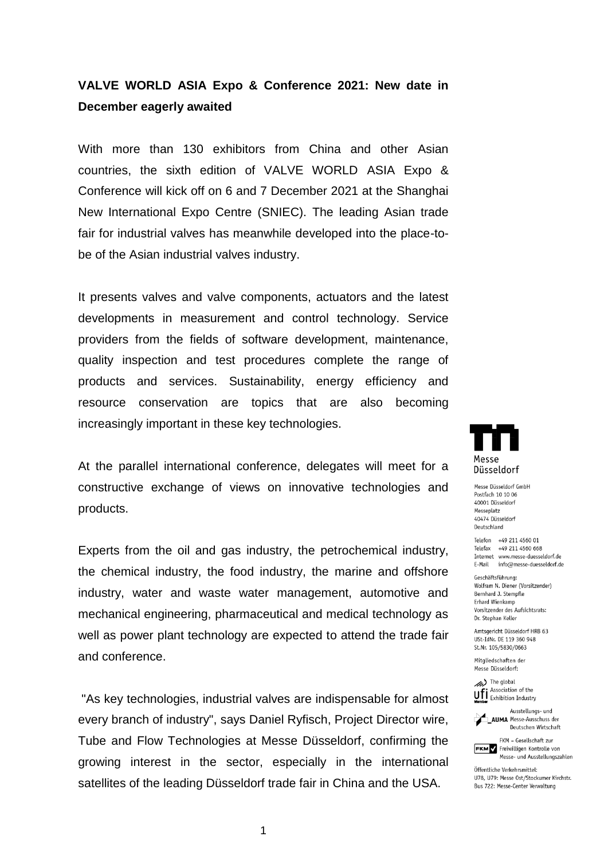## **VALVE WORLD ASIA Expo & Conference 2021: New date in December eagerly awaited**

With more than 130 exhibitors from China and other Asian countries, the sixth edition of VALVE WORLD ASIA Expo & Conference will kick off on 6 and 7 December 2021 at the Shanghai New International Expo Centre (SNIEC). The leading Asian trade fair for industrial valves has meanwhile developed into the place-tobe of the Asian industrial valves industry.

It presents valves and valve components, actuators and the latest developments in measurement and control technology. Service providers from the fields of software development, maintenance, quality inspection and test procedures complete the range of products and services. Sustainability, energy efficiency and resource conservation are topics that are also becoming increasingly important in these key technologies.

At the parallel international conference, delegates will meet for a constructive exchange of views on innovative technologies and products.

Experts from the oil and gas industry, the petrochemical industry, the chemical industry, the food industry, the marine and offshore industry, water and waste water management, automotive and mechanical engineering, pharmaceutical and medical technology as well as power plant technology are expected to attend the trade fair and conference.

"As key technologies, industrial valves are indispensable for almost every branch of industry", says Daniel Ryfisch, Project Director wire, Tube and Flow Technologies at Messe Düsseldorf, confirming the growing interest in the sector, especially in the international satellites of the leading Düsseldorf trade fair in China and the USA.



Messe Diisseldorf GmbH Postfach 10 10 06 40001 Düsseldorf Messeplatz 40474 Düsseldorf Deutschland

Telefon +49 211 4560 01 Telefax +49 211 4560 668 Internet www.messe-duesseldorf.de E-Mail info@messe-duesseldorf.de

Geschäftsführung: Wolfram N. Diener (Vorsitzender) Bernhard J. Stempfle Erhard Wienkamp Vorsitzender des Aufsichtsrats: Dr. Stephan Keller

Amtsgericht Düsseldorf HRB 63 USt-IdNr. DE 119 360 948 St.Nr. 105/5830/0663

Mitgliedschaften der Messe Diisseldorf:

> The global Association of the **Uff** Association of the<br>**Member** Exhibition Industry



FKM - Gesellschaft zur **FKM** Freiwilligen Kontrolle von Messe- und Ausstellungszahlen

Öffentliche Verkehrsmittel: U78, U79: Messe Ost/Stockumer Kirchstr. Bus 722: Messe-Center Verwaltung